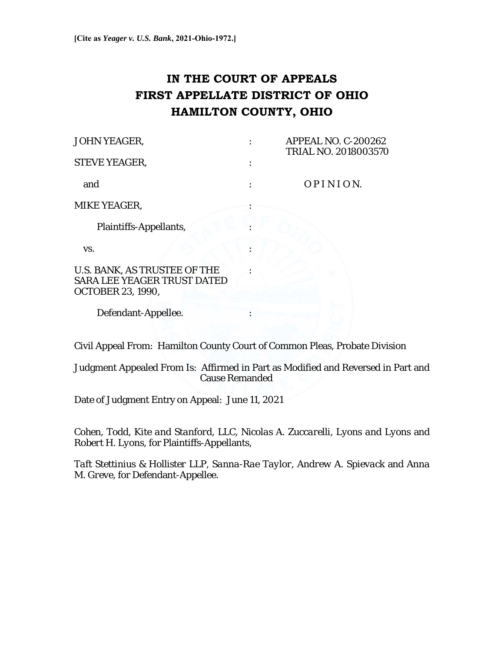# **IN THE COURT OF APPEALS FIRST APPELLATE DISTRICT OF OHIO HAMILTON COUNTY, OHIO**

| <b>JOHN YEAGER,</b>                                                                     |  | <b>APPEAL NO. C-200262</b><br>TRIAL NO. 2018003570 |
|-----------------------------------------------------------------------------------------|--|----------------------------------------------------|
| <b>STEVE YEAGER,</b>                                                                    |  |                                                    |
| and                                                                                     |  | OPINION.                                           |
| MIKE YEAGER,                                                                            |  |                                                    |
| Plaintiffs-Appellants,                                                                  |  |                                                    |
| VS.                                                                                     |  |                                                    |
| U.S. BANK, AS TRUSTEE OF THE<br>SARA LEE YEAGER TRUST DATED<br><b>OCTOBER 23, 1990,</b> |  |                                                    |
| Defendant-Appellee.                                                                     |  |                                                    |

Civil Appeal From: Hamilton County Court of Common Pleas, Probate Division

Judgment Appealed From Is: Affirmed in Part as Modified and Reversed in Part and Cause Remanded

Date of Judgment Entry on Appeal: June 11, 2021

*Cohen, Todd, Kite and Stanford, LLC*, *Nicolas A. Zuccarelli*, *Lyons and Lyons* and *Robert H. Lyons,* for Plaintiffs-Appellants,

*Taft Stettinius & Hollister LLP, Sanna-Rae Taylor*, *Andrew A. Spievack* and *Anna M. Greve,* for Defendant-Appellee.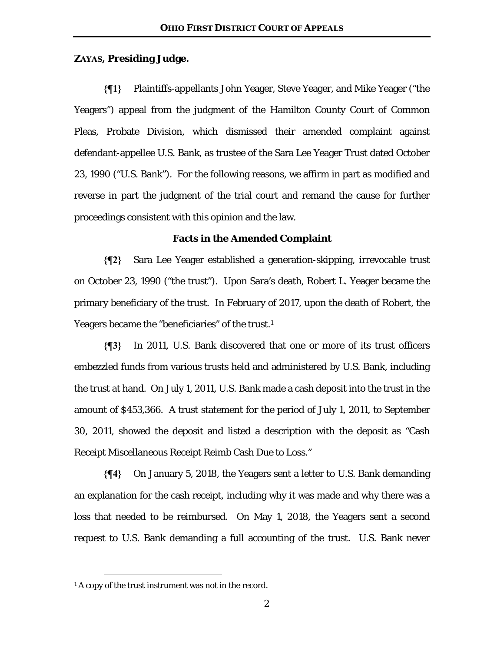# **ZAYAS, Presiding Judge.**

**{¶1}** Plaintiffs-appellants John Yeager, Steve Yeager, and Mike Yeager ("the Yeagers") appeal from the judgment of the Hamilton County Court of Common Pleas, Probate Division, which dismissed their amended complaint against defendant-appellee U.S. Bank, as trustee of the Sara Lee Yeager Trust dated October 23, 1990 ("U.S. Bank"). For the following reasons, we affirm in part as modified and reverse in part the judgment of the trial court and remand the cause for further proceedings consistent with this opinion and the law.

#### **Facts in the Amended Complaint**

**{¶2}** Sara Lee Yeager established a generation-skipping, irrevocable trust on October 23, 1990 ("the trust"). Upon Sara's death, Robert L. Yeager became the primary beneficiary of the trust. In February of 2017, upon the death of Robert, the Yeagers became the "beneficiaries" of the trust.<sup>1</sup>

**{¶3}** In 2011, U.S. Bank discovered that one or more of its trust officers embezzled funds from various trusts held and administered by U.S. Bank, including the trust at hand. On July 1, 2011, U.S. Bank made a cash deposit into the trust in the amount of \$453,366. A trust statement for the period of July 1, 2011, to September 30, 2011, showed the deposit and listed a description with the deposit as "Cash Receipt Miscellaneous Receipt Reimb Cash Due to Loss."

**{¶4}** On January 5, 2018, the Yeagers sent a letter to U.S. Bank demanding an explanation for the cash receipt, including why it was made and why there was a loss that needed to be reimbursed. On May 1, 2018, the Yeagers sent a second request to U.S. Bank demanding a full accounting of the trust. U.S. Bank never

<sup>&</sup>lt;sup>1</sup> A copy of the trust instrument was not in the record.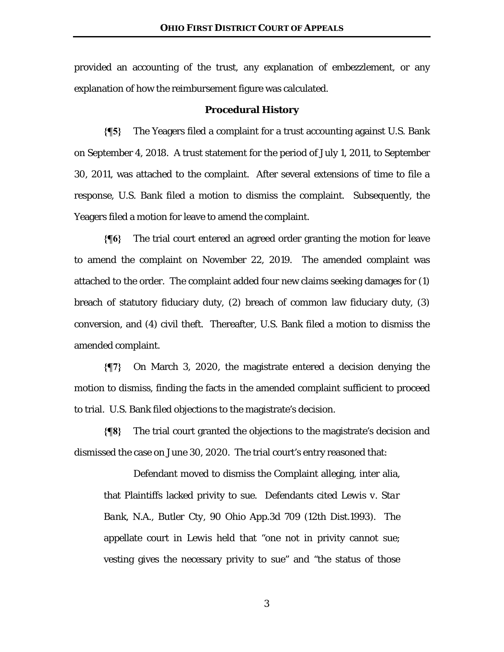provided an accounting of the trust, any explanation of embezzlement, or any explanation of how the reimbursement figure was calculated.

### **Procedural History**

**{¶5}** The Yeagers filed a complaint for a trust accounting against U.S. Bank on September 4, 2018. A trust statement for the period of July 1, 2011, to September 30, 2011, was attached to the complaint. After several extensions of time to file a response, U.S. Bank filed a motion to dismiss the complaint. Subsequently, the Yeagers filed a motion for leave to amend the complaint.

**{¶6}** The trial court entered an agreed order granting the motion for leave to amend the complaint on November 22, 2019. The amended complaint was attached to the order. The complaint added four new claims seeking damages for (1) breach of statutory fiduciary duty, (2) breach of common law fiduciary duty, (3) conversion, and (4) civil theft. Thereafter, U.S. Bank filed a motion to dismiss the amended complaint.

**{¶7}** On March 3, 2020, the magistrate entered a decision denying the motion to dismiss, finding the facts in the amended complaint sufficient to proceed to trial. U.S. Bank filed objections to the magistrate's decision.

**{¶8}** The trial court granted the objections to the magistrate's decision and dismissed the case on June 30, 2020. The trial court's entry reasoned that:

 Defendant moved to dismiss the Complaint alleging, inter alia, that Plaintiffs lacked privity to sue. Defendants cited *Lewis v. Star Bank, N.A., Butler Cty*, 90 Ohio App.3d 709 (12th Dist.1993). The appellate court in *Lewis* held that "one not in privity cannot sue; vesting gives the necessary privity to sue" and "the status of those

3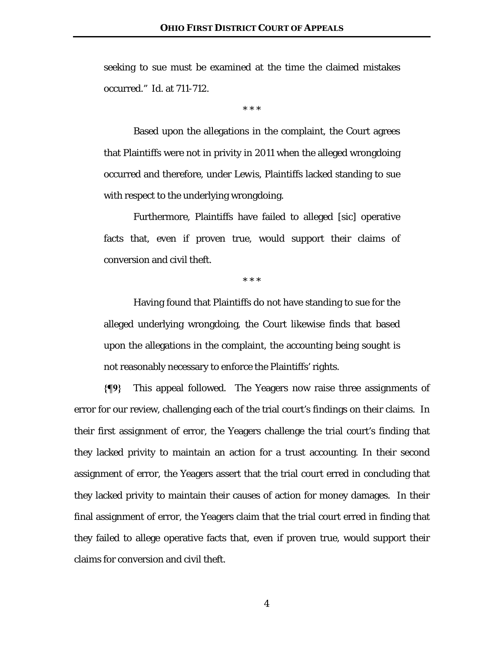seeking to sue must be examined at the time the claimed mistakes occurred." *Id*. at 711-712.

\* \* \*

 Based upon the allegations in the complaint, the Court agrees that Plaintiffs were not in privity in 2011 when the alleged wrongdoing occurred and therefore, under *Lewis*, Plaintiffs lacked standing to sue with respect to the underlying wrongdoing.

 Furthermore, Plaintiffs have failed to alleged [sic] operative facts that, even if proven true, would support their claims of conversion and civil theft.

\* \* \*

 Having found that Plaintiffs do not have standing to sue for the alleged underlying wrongdoing, the Court likewise finds that based upon the allegations in the complaint, the accounting being sought is not reasonably necessary to enforce the Plaintiffs' rights.

**{¶9}** This appeal followed. The Yeagers now raise three assignments of error for our review, challenging each of the trial court's findings on their claims. In their first assignment of error, the Yeagers challenge the trial court's finding that they lacked privity to maintain an action for a trust accounting. In their second assignment of error, the Yeagers assert that the trial court erred in concluding that they lacked privity to maintain their causes of action for money damages. In their final assignment of error, the Yeagers claim that the trial court erred in finding that they failed to allege operative facts that, even if proven true, would support their claims for conversion and civil theft.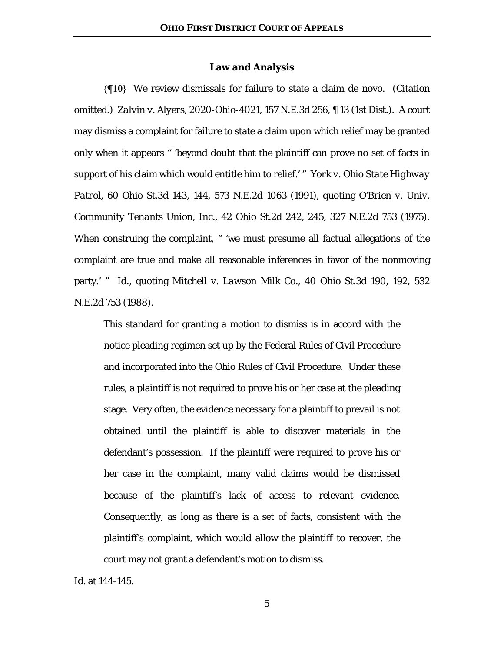### **Law and Analysis**

**{¶10}** We review dismissals for failure to state a claim de novo. (Citation omitted.) *Zalvin v. Alyers*, 2020-Ohio-4021, 157 N.E.3d 256, ¶ 13 (1st Dist.). A court may dismiss a complaint for failure to state a claim upon which relief may be granted only when it appears " 'beyond doubt that the plaintiff can prove no set of facts in support of his claim which would entitle him to relief.' " *York v. Ohio State Highway Patrol*, 60 Ohio St.3d 143, 144, 573 N.E.2d 1063 (1991), quoting *O'Brien v. Univ. Community Tenants Union, Inc.*, 42 Ohio St.2d 242, 245, 327 N.E.2d 753 (1975). When construing the complaint, " 'we must presume all factual allegations of the complaint are true and make all reasonable inferences in favor of the nonmoving party.' " *Id*., quoting *Mitchell v. Lawson Milk Co.*, 40 Ohio St.3d 190, 192, 532 N.E.2d 753 (1988).

This standard for granting a motion to dismiss is in accord with the notice pleading regimen set up by the Federal Rules of Civil Procedure and incorporated into the Ohio Rules of Civil Procedure. Under these rules, a plaintiff is not required to prove his or her case at the pleading stage. Very often, the evidence necessary for a plaintiff to prevail is not obtained until the plaintiff is able to discover materials in the defendant's possession. If the plaintiff were required to prove his or her case in the complaint, many valid claims would be dismissed because of the plaintiff's lack of access to relevant evidence. Consequently, as long as there is a set of facts, consistent with the plaintiff's complaint, which would allow the plaintiff to recover, the court may not grant a defendant's motion to dismiss.

*Id*. at 144-145.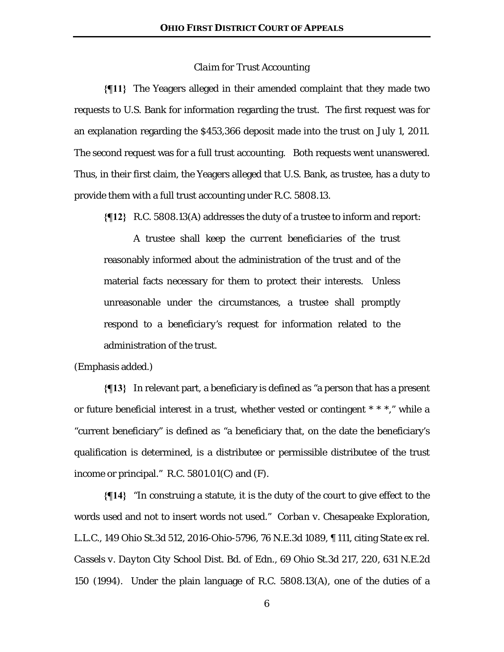## *Claim for Trust Accounting*

**{¶11}** The Yeagers alleged in their amended complaint that they made two requests to U.S. Bank for information regarding the trust. The first request was for an explanation regarding the \$453,366 deposit made into the trust on July 1, 2011. The second request was for a full trust accounting. Both requests went unanswered. Thus, in their first claim, the Yeagers alleged that U.S. Bank, as trustee, has a duty to provide them with a full trust accounting under R.C. 5808.13.

**{¶12}** R.C. 5808.13(A) addresses the duty of a trustee to inform and report:

 A trustee shall keep the *current beneficiaries* of the trust reasonably informed about the administration of the trust and of the material facts necessary for them to protect their interests. Unless unreasonable under the circumstances, a trustee shall promptly respond to a *beneficiary's* request for information related to the administration of the trust.

(Emphasis added.)

**{¶13}** In relevant part, a beneficiary is defined as "a person that has a present or future beneficial interest in a trust, whether vested or contingent \* \* \*," while a "current beneficiary" is defined as "a beneficiary that, on the date the beneficiary's qualification is determined, is a distributee or permissible distributee of the trust income or principal." R.C.  $5801.01(C)$  and  $(F)$ .

**{¶14}** "In construing a statute, it is the duty of the court to give effect to the words used and not to insert words not used." *Corban v. Chesapeake Exploration, L.L.C.*, 149 Ohio St.3d 512, 2016-Ohio-5796, 76 N.E.3d 1089, ¶ 111, citing *State ex rel. Cassels v. Dayton City School Dist. Bd. of Edn.*, 69 Ohio St.3d 217, 220, 631 N.E.2d 150 (1994). Under the plain language of R.C. 5808.13(A), one of the duties of a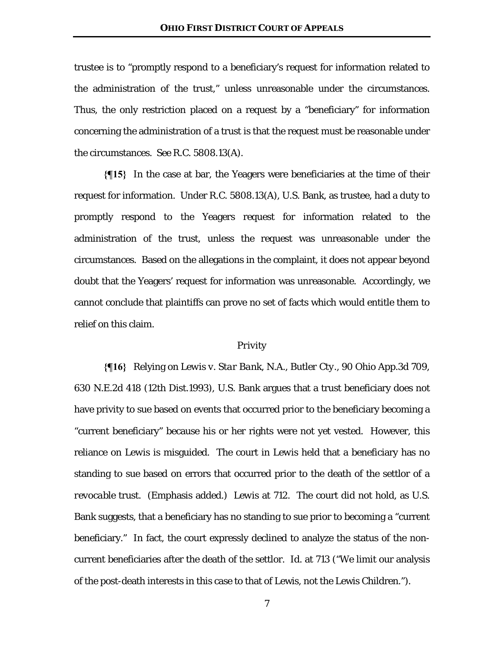trustee is to "promptly respond to a beneficiary's request for information related to the administration of the trust," unless unreasonable under the circumstances. Thus, the only restriction placed on a request by a "beneficiary" for information concerning the administration of a trust is that the request must be reasonable under the circumstances. *See* R.C. 5808.13(A).

**{¶15}** In the case at bar, the Yeagers were beneficiaries at the time of their request for information. Under R.C. 5808.13(A), U.S. Bank, as trustee, had a duty to promptly respond to the Yeagers request for information related to the administration of the trust, unless the request was unreasonable under the circumstances. Based on the allegations in the complaint, it does not appear beyond doubt that the Yeagers' request for information was unreasonable. Accordingly, we cannot conclude that plaintiffs can prove no set of facts which would entitle them to relief on this claim.

#### *Privity*

**{¶16}** Relying on *Lewis v. Star Bank, N.A., Butler Cty.,* 90 Ohio App.3d 709, 630 N.E.2d 418 (12th Dist.1993), U.S. Bank argues that a trust beneficiary does not have privity to sue based on events that occurred prior to the beneficiary becoming a "current beneficiary" because his or her rights were not yet vested. However, this reliance on *Lewis* is misguided. The court in *Lewis* held that a beneficiary has no standing to sue based on errors that occurred prior to the death of the settlor of a *revocable* trust. (Emphasis added.) *Lewis* at 712. The court did not hold, as U.S. Bank suggests, that a beneficiary has no standing to sue prior to becoming a "current beneficiary." In fact, the court expressly declined to analyze the status of the noncurrent beneficiaries after the death of the settlor. *Id.* at 713 ("We limit our analysis of the post-death interests in this case to that of Lewis, not the Lewis Children.").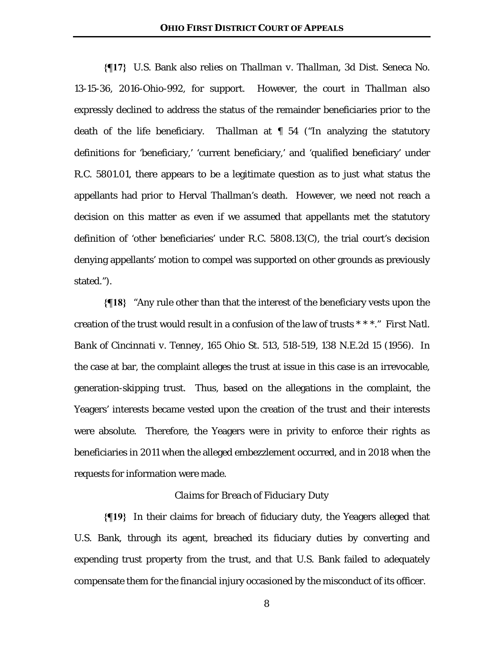**{¶17}** U.S. Bank also relies on *Thallman v. Thallman*, 3d Dist. Seneca No. 13-15-36, 2016-Ohio-992, for support. However, the court in *Thallman* also expressly declined to address the status of the remainder beneficiaries prior to the death of the life beneficiary. *Thallman* at ¶ 54 ("In analyzing the statutory definitions for 'beneficiary,' 'current beneficiary,' and 'qualified beneficiary' under R.C. 5801.01, there appears to be a legitimate question as to just what status the appellants had prior to Herval Thallman's death. However, we need not reach a decision on this matter as even if we assumed that appellants met the statutory definition of 'other beneficiaries' under R.C. 5808.13(C), the trial court's decision denying appellants' motion to compel was supported on other grounds as previously stated.").

**{¶18}** "Any rule other than that the interest of the beneficiary vests upon the creation of the trust would result in a confusion of the law of trusts \* \* \*." *First Natl. Bank of Cincinnati v. Tenney*, 165 Ohio St. 513, 518-519, 138 N.E.2d 15 (1956). In the case at bar, the complaint alleges the trust at issue in this case is an irrevocable, generation-skipping trust. Thus, based on the allegations in the complaint, the Yeagers' interests became vested upon the creation of the trust and their interests were absolute. Therefore, the Yeagers were in privity to enforce their rights as beneficiaries in 2011 when the alleged embezzlement occurred, and in 2018 when the requests for information were made.

### *Claims for Breach of Fiduciary Duty*

**{¶19}** In their claims for breach of fiduciary duty, the Yeagers alleged that U.S. Bank, through its agent, breached its fiduciary duties by converting and expending trust property from the trust, and that U.S. Bank failed to adequately compensate them for the financial injury occasioned by the misconduct of its officer.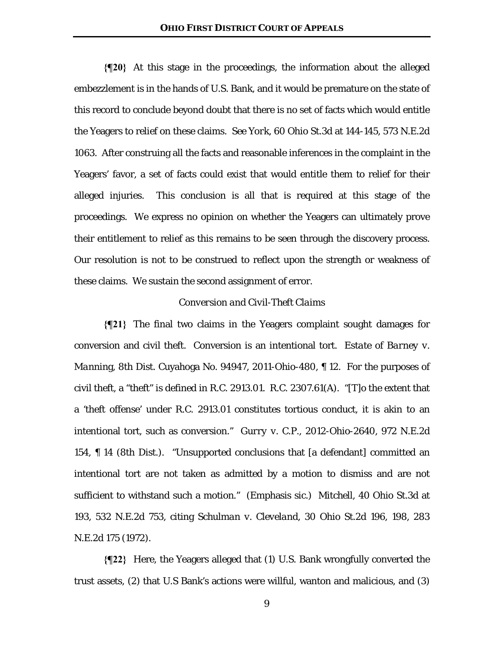**{¶20}** At this stage in the proceedings, the information about the alleged embezzlement is in the hands of U.S. Bank, and it would be premature on the state of this record to conclude beyond doubt that there is no set of facts which would entitle the Yeagers to relief on these claims. *See York*, 60 Ohio St.3d at 144-145, 573 N.E.2d 1063. After construing all the facts and reasonable inferences in the complaint in the Yeagers' favor, a set of facts could exist that would entitle them to relief for their alleged injuries. This conclusion is all that is required at this stage of the proceedings. We express no opinion on whether the Yeagers can ultimately prove their entitlement to relief as this remains to be seen through the discovery process. Our resolution is not to be construed to reflect upon the strength or weakness of these claims. We sustain the second assignment of error.

# *Conversion and Civil-Theft Claims*

**{¶21}** The final two claims in the Yeagers complaint sought damages for conversion and civil theft. Conversion is an intentional tort. *Estate of Barney v. Mannin*g, 8th Dist. Cuyahoga No. 94947, 2011-Ohio-480, ¶ 12. For the purposes of civil theft, a "theft" is defined in R.C. 2913.01. R.C. 2307.61(A). "[T]o the extent that a 'theft offense' under R.C. 2913.01 constitutes tortious conduct, it is akin to an intentional tort, such as conversion." *Gurry v. C.P.*, 2012-Ohio-2640, 972 N.E.2d 154, ¶ 14 (8th Dist.). "Unsupported *conclusions* that [a defendant] committed an intentional tort are not taken as admitted by a motion to dismiss and are not sufficient to withstand such a motion." (Emphasis sic.) *Mitchell*, 40 Ohio St.3d at 193, 532 N.E.2d 753, citing *Schulman v. Cleveland*, 30 Ohio St.2d 196, 198, 283 N.E.2d 175 (1972).

**{¶22}** Here, the Yeagers alleged that (1) U.S. Bank wrongfully converted the trust assets, (2) that U.S Bank's actions were willful, wanton and malicious, and (3)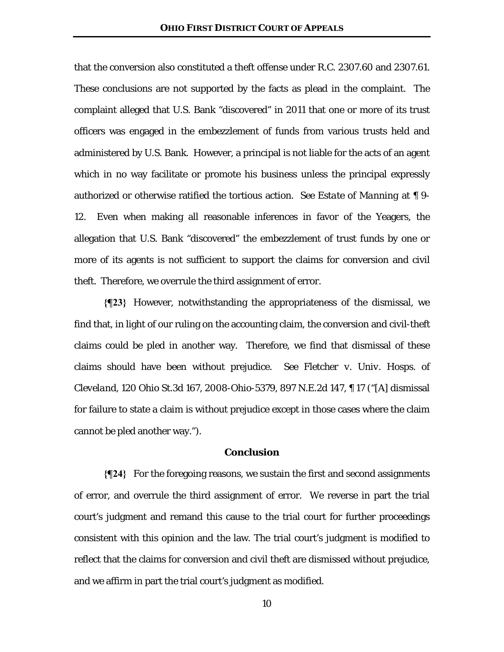that the conversion also constituted a theft offense under R.C. 2307.60 and 2307.61. These conclusions are not supported by the facts as plead in the complaint. The complaint alleged that U.S. Bank "discovered" in 2011 that one or more of its trust officers was engaged in the embezzlement of funds from various trusts held and administered by U.S. Bank. However, a principal is not liable for the acts of an agent which in no way facilitate or promote his business unless the principal expressly authorized or otherwise ratified the tortious action. *See Estate of Manning* at ¶ 9- 12. Even when making all reasonable inferences in favor of the Yeagers, the allegation that U.S. Bank "discovered" the embezzlement of trust funds by one or more of its agents is not sufficient to support the claims for conversion and civil theft. Therefore, we overrule the third assignment of error.

**{¶23}** However, notwithstanding the appropriateness of the dismissal, we find that, in light of our ruling on the accounting claim, the conversion and civil-theft claims could be pled in another way. Therefore, we find that dismissal of these claims should have been without prejudice. *See Fletcher v. Univ. Hosps. of Cleveland*, 120 Ohio St.3d 167, 2008-Ohio-5379, 897 N.E.2d 147, ¶ 17 ("[A] dismissal for failure to state a claim is without prejudice except in those cases where the claim cannot be pled another way.").

# **Conclusion**

**{¶24}** For the foregoing reasons, we sustain the first and second assignments of error, and overrule the third assignment of error. We reverse in part the trial court's judgment and remand this cause to the trial court for further proceedings consistent with this opinion and the law. The trial court's judgment is modified to reflect that the claims for conversion and civil theft are dismissed without prejudice, and we affirm in part the trial court's judgment as modified.